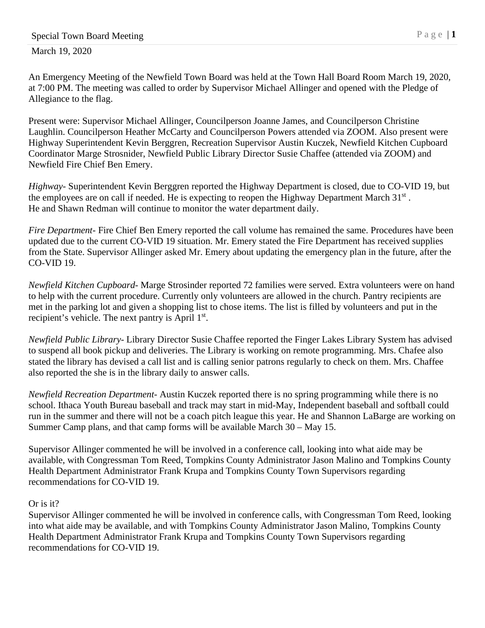March 19, 2020

An Emergency Meeting of the Newfield Town Board was held at the Town Hall Board Room March 19, 2020, at 7:00 PM. The meeting was called to order by Supervisor Michael Allinger and opened with the Pledge of Allegiance to the flag.

Present were: Supervisor Michael Allinger, Councilperson Joanne James, and Councilperson Christine Laughlin. Councilperson Heather McCarty and Councilperson Powers attended via ZOOM. Also present were Highway Superintendent Kevin Berggren, Recreation Supervisor Austin Kuczek, Newfield Kitchen Cupboard Coordinator Marge Strosnider, Newfield Public Library Director Susie Chaffee (attended via ZOOM) and Newfield Fire Chief Ben Emery.

*Highway*- Superintendent Kevin Berggren reported the Highway Department is closed, due to CO-VID 19, but the employees are on call if needed. He is expecting to reopen the Highway Department March 31<sup>st</sup>. He and Shawn Redman will continue to monitor the water department daily.

*Fire Department-* Fire Chief Ben Emery reported the call volume has remained the same. Procedures have been updated due to the current CO-VID 19 situation. Mr. Emery stated the Fire Department has received supplies from the State. Supervisor Allinger asked Mr. Emery about updating the emergency plan in the future, after the CO-VID 19.

*Newfield Kitchen Cupboard-* Marge Strosinder reported 72 families were served. Extra volunteers were on hand to help with the current procedure. Currently only volunteers are allowed in the church. Pantry recipients are met in the parking lot and given a shopping list to chose items. The list is filled by volunteers and put in the recipient's vehicle. The next pantry is April 1<sup>st</sup>.

*Newfield Public Library-* Library Director Susie Chaffee reported the Finger Lakes Library System has advised to suspend all book pickup and deliveries. The Library is working on remote programming. Mrs. Chafee also stated the library has devised a call list and is calling senior patrons regularly to check on them. Mrs. Chaffee also reported the she is in the library daily to answer calls.

*Newfield Recreation Department*- Austin Kuczek reported there is no spring programming while there is no school. Ithaca Youth Bureau baseball and track may start in mid-May, Independent baseball and softball could run in the summer and there will not be a coach pitch league this year. He and Shannon LaBarge are working on Summer Camp plans, and that camp forms will be available March 30 – May 15.

Supervisor Allinger commented he will be involved in a conference call, looking into what aide may be available, with Congressman Tom Reed, Tompkins County Administrator Jason Malino and Tompkins County Health Department Administrator Frank Krupa and Tompkins County Town Supervisors regarding recommendations for CO-VID 19.

## Or is it?

Supervisor Allinger commented he will be involved in conference calls, with Congressman Tom Reed, looking into what aide may be available, and with Tompkins County Administrator Jason Malino, Tompkins County Health Department Administrator Frank Krupa and Tompkins County Town Supervisors regarding recommendations for CO-VID 19.